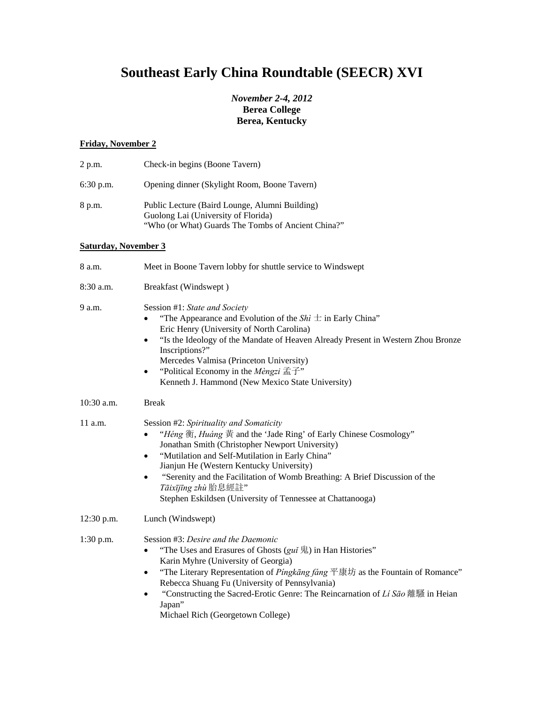# **Southeast Early China Roundtable (SEECR) XVI**

## *November 2-4, 2012*  **Berea College Berea, Kentucky**

#### **Friday, November 2**

| 2 p.m.      | Check-in begins (Boone Tavern)                                                                                                              |
|-------------|---------------------------------------------------------------------------------------------------------------------------------------------|
| $6:30$ p.m. | Opening dinner (Skylight Room, Boone Tavern)                                                                                                |
| 8 p.m.      | Public Lecture (Baird Lounge, Alumni Building)<br>Guolong Lai (University of Florida)<br>"Who (or What) Guards The Tombs of Ancient China?" |

#### **Saturday, November 3**

| 8 a.m.       | Meet in Boone Tavern lobby for shuttle service to Windswept                                                                                                                                                                                                                                                                                                                                                                                                                                       |  |
|--------------|---------------------------------------------------------------------------------------------------------------------------------------------------------------------------------------------------------------------------------------------------------------------------------------------------------------------------------------------------------------------------------------------------------------------------------------------------------------------------------------------------|--|
| 8:30 a.m.    | Breakfast (Windswept)                                                                                                                                                                                                                                                                                                                                                                                                                                                                             |  |
| 9 a.m.       | Session #1: State and Society<br>"The Appearance and Evolution of the $\textit{Shi} \pm \text{in}$ Early China"<br>Eric Henry (University of North Carolina)<br>"Is the Ideology of the Mandate of Heaven Already Present in Western Zhou Bronze<br>$\bullet$<br>Inscriptions?"<br>Mercedes Valmisa (Princeton University)<br>"Political Economy in the <i>Mèngzi</i> $\vec{\mathbb{A}}$ $\vec{\mathbb{F}}$ "<br>٠<br>Kenneth J. Hammond (New Mexico State University)                            |  |
| 10:30 a.m.   | <b>Break</b>                                                                                                                                                                                                                                                                                                                                                                                                                                                                                      |  |
| 11 a.m.      | Session #2: Spirituality and Somaticity<br>"Héng 衡, Huáng 黃 and the 'Jade Ring' of Early Chinese Cosmology"<br>Jonathan Smith (Christopher Newport University)<br>"Mutilation and Self-Mutilation in Early China"<br>$\bullet$<br>Jianjun He (Western Kentucky University)<br>"Serenity and the Facilitation of Womb Breathing: A Brief Discussion of the<br>Tāixījīng zhù 胎息經註"<br>Stephen Eskildsen (University of Tennessee at Chattanooga)                                                    |  |
| $12:30$ p.m. | Lunch (Windswept)                                                                                                                                                                                                                                                                                                                                                                                                                                                                                 |  |
| $1:30$ p.m.  | Session #3: Desire and the Daemonic<br>"The Uses and Erasures of Ghosts (guǐ 鬼) in Han Histories"<br>$\bullet$<br>Karin Myhre (University of Georgia)<br>"The Literary Representation of Pingkang fang $\overline{\mathcal{F}}$ $\overline{\mathcal{F}}$ as the Fountain of Romance"<br>$\bullet$<br>Rebecca Shuang Fu (University of Pennsylvania)<br>"Constructing the Sacred-Erotic Genre: The Reincarnation of Li Sao 離騷 in Heian<br>$\bullet$<br>Japan"<br>Michael Rich (Georgetown College) |  |